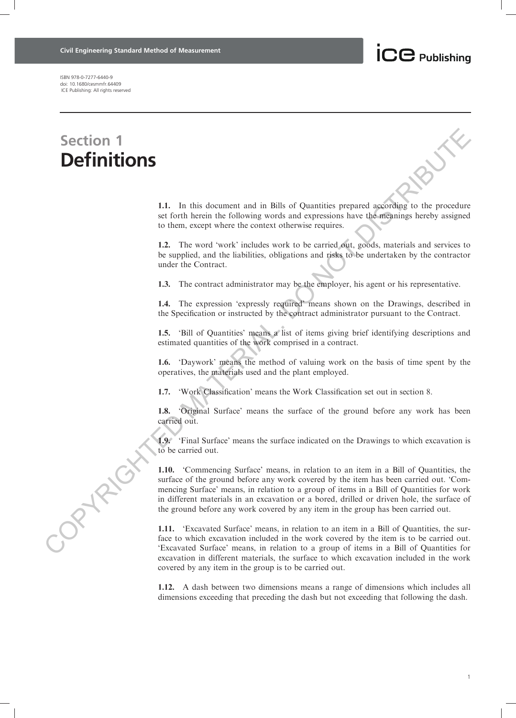

ISBN 978-0-7277-6440-9 doi: 10.1680/cesmmfr.64409 ICE Publishing: All rights reserved

## Section 1 **Definitions**

1.1. In this document and in Bills of Quantities prepared according to the procedure set forth herein the following words and expressions have the meanings hereby assigned to them, except where the context otherwise requires.

1.2. The word 'work' includes work to be carried out, goods, materials and services to be supplied, and the liabilities, obligations and risks to be undertaken by the contractor under the Contract.

1.3. The contract administrator may be the employer, his agent or his representative.

1.4. The expression 'expressly required' means shown on the Drawings, described in the Specification or instructed by the contract administrator pursuant to the Contract.

1.5. 'Bill of Quantities' means a list of items giving brief identifying descriptions and estimated quantities of the work comprised in a contract.

1.6. 'Daywork' means the method of valuing work on the basis of time spent by the operatives, the materials used and the plant employed.

1.7. 'Work Classification' means the Work Classification set out in section 8.

1.8. 'Original Surface' means the surface of the ground before any work has been carried out.

1.9. 'Final Surface' means the surface indicated on the Drawings to which excavation is to be carried out.

1.10. 'Commencing Surface' means, in relation to an item in a Bill of Quantities, the surface of the ground before any work covered by the item has been carried out. 'Commencing Surface' means, in relation to a group of items in a Bill of Quantities for work in different materials in an excavation or a bored, drilled or driven hole, the surface of the ground before any work covered by any item in the group has been carried out. **Section 1**<br> **COPYRIGHTED MATERIAL**<br> **COPYRIGHTED MATERIAL IS TO CONSULTE AND ATTENTIFY CONSULTER THE SECTION OF THE SECTION OF THE SECTION OF THE SECTION AND INTERFERENCE CONTROLL AND ATTENT OF THE SECTION AND INTERFEREN** 

1.11. 'Excavated Surface' means, in relation to an item in a Bill of Quantities, the surface to which excavation included in the work covered by the item is to be carried out. 'Excavated Surface' means, in relation to a group of items in a Bill of Quantities for excavation in different materials, the surface to which excavation included in the work covered by any item in the group is to be carried out.

1.12. A dash between two dimensions means a range of dimensions which includes all dimensions exceeding that preceding the dash but not exceeding that following the dash.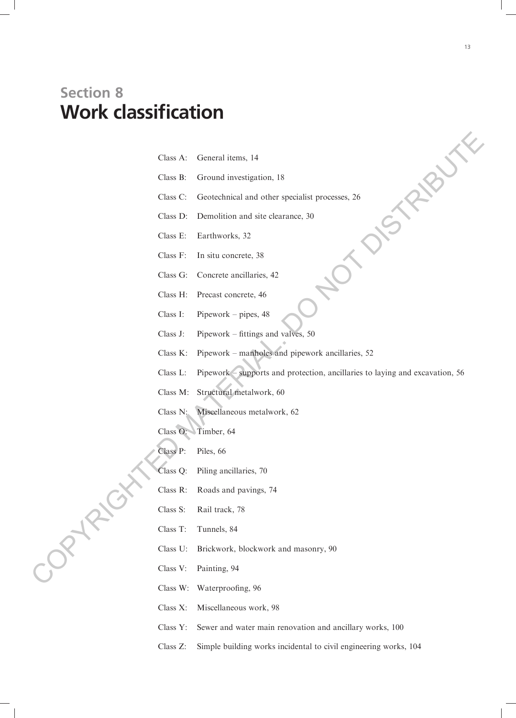## Section 8 Work classification

| $Class A$ : | General items, 14 |  |  |
|-------------|-------------------|--|--|
|-------------|-------------------|--|--|

- Class B: Ground investigation, 18
- Class C: Geotechnical and other specialist processes, 26
- Class D: Demolition and site clearance, 30
- Class E: Earthworks, 32
- Class F: In situ concrete, 38
- Class G: Concrete ancillaries, 42
- Class H: Precast concrete, 46
- Class I: Pipework pipes, 48
- Class J: Pipework fittings and valves, 50
- Class K: Pipework manholes and pipework ancillaries, 52
- Class L: Pipework supports and protection, ancillaries to laying and excavation, 56 Class A. General items, 14<br>
Class B. Ground investigation. 18<br>
Class C: Geordoninal and other specialist processes, 26<br>
Class F. La situ concerts, 32<br>
Class F. La situ concerts, 32<br>
Class F. La situ concerts, 32<br>
Class H.
	- Class M: Structural metalwork, 60
	- Class N: Miscellaneous metalwork, 62
	- Class O: Timber, 64
	- Class P: Piles, 66
	- Class Q: Piling ancillaries, 70
	- Class R: Roads and pavings, 74
	- Class S: Rail track, 78
	- Class T: Tunnels, 84
	- Class U: Brickwork, blockwork and masonry, 90
	- Class V: Painting, 94
	- Class W: Waterproofing, 96
	- Class X: Miscellaneous work, 98
	- Class Y: Sewer and water main renovation and ancillary works, 100
	- Class Z: Simple building works incidental to civil engineering works, 104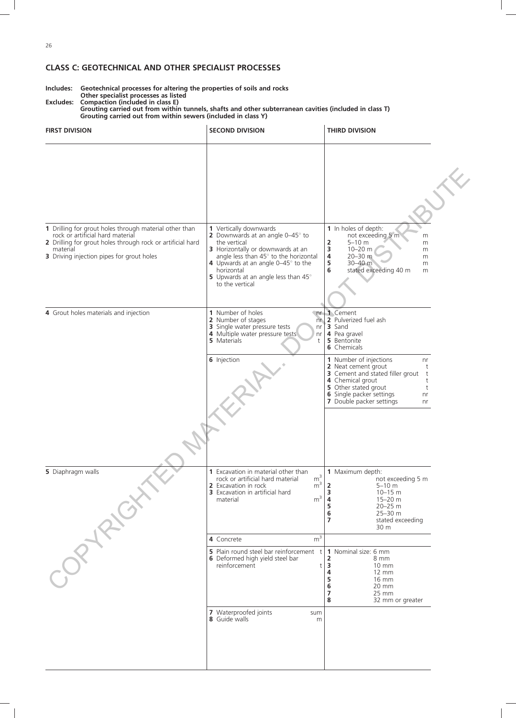## CLASS C: GEOTECHNICAL AND OTHER SPECIALIST PROCESSES

Includes: Geotechnical processes for altering the properties of soils and rocks Other specialist processes as listed Excludes: Compaction (included in class E)

Grouting carried out from within tunnels, shafts and other subterranean cavities (included in class T) Grouting carried out from within sewers (included in class Y)

| <b>FIRST DIVISION</b>                                                                                                                                                                                             | <b>SECOND DIVISION</b>                                                                                                                                                                                                                                                               | <b>THIRD DIVISION</b>                                                                                                                                                                                                       |  |
|-------------------------------------------------------------------------------------------------------------------------------------------------------------------------------------------------------------------|--------------------------------------------------------------------------------------------------------------------------------------------------------------------------------------------------------------------------------------------------------------------------------------|-----------------------------------------------------------------------------------------------------------------------------------------------------------------------------------------------------------------------------|--|
|                                                                                                                                                                                                                   |                                                                                                                                                                                                                                                                                      |                                                                                                                                                                                                                             |  |
| 1 Drilling for grout holes through material other than<br>rock or artificial hard material<br>2 Drilling for grout holes through rock or artificial hard<br>material<br>3 Driving injection pipes for grout holes | 1 Vertically downwards<br>2 Downwards at an angle $0-45^\circ$ to<br>the vertical<br>3 Horizontally or downwards at an<br>angle less than 45° to the horizontal<br>4 Upwards at an angle $0-45^\circ$ to the<br>horizontal<br>5 Upwards at an angle less than 45°<br>to the vertical | 1 In holes of depth:<br>not exceeding 5 m<br>m<br>2<br>$5 - 10$ m<br>m<br>3<br>$10 - 20$ m<br>m<br>4<br>20-30 m<br>m<br>5<br>30-40 m<br>m<br>6<br>stated exceeding 40 m<br>m                                                |  |
| 4 Grout holes materials and injection                                                                                                                                                                             | 1 Number of holes<br>n <sub>r</sub><br>2 Number of stages<br>n <sub>r</sub><br>3 Single water pressure tests<br>nr<br>4 Multiple water pressure tests<br>nr<br>5 Materials<br>t                                                                                                      | 1 Cement<br>2 Pulverized fuel ash<br>3 Sand<br>4 Pea gravel<br>5 Bentonite<br><b>6</b> Chemicals                                                                                                                            |  |
|                                                                                                                                                                                                                   | 6 Injection                                                                                                                                                                                                                                                                          | 1 Number of injections<br>nr<br>2 Neat cement grout<br>t<br>3 Cement and stated filler grout<br>t<br>4 Chemical grout<br>t<br>5 Other stated grout<br>t<br>6 Single packer settings<br>nr<br>7 Double packer settings<br>nr |  |
| 5 Diaphragm walls<br>-OPTRICI                                                                                                                                                                                     | <b>1</b> Excavation in material other than<br>$m^3$<br>$m^3$<br>rock or artificial hard material<br>2 Excavation in rock<br><b>3</b> Excavation in artificial hard<br>m <sup>3</sup><br>material                                                                                     | 1 Maximum depth:<br>not exceeding 5 m<br>$\overline{2}$<br>$5 - 10$ m<br>$10 - 15$ m<br>3<br>15-20 m<br>4<br>5<br>20-25 m<br>6<br>$25 - 30$ m<br>$\overline{7}$<br>stated exceeding<br>30 m                                 |  |
|                                                                                                                                                                                                                   | m <sup>3</sup><br>4 Concrete<br><b>5</b> Plain round steel bar reinforcement $t \mid 1$ Nominal size: 6 mm<br>6 Deformed high yield steel bar<br>reinforcement<br>t                                                                                                                  | 2<br>8 mm<br>$\overline{\mathbf{3}}$<br>$10 \, \text{mm}$<br>4<br>12 mm<br>5<br>16 mm<br>6<br>20 mm<br>$\overline{7}$<br>25 mm<br>8<br>32 mm or greater                                                                     |  |
|                                                                                                                                                                                                                   | 7 Waterproofed joints<br>sum<br>8 Guide walls<br>m                                                                                                                                                                                                                                   |                                                                                                                                                                                                                             |  |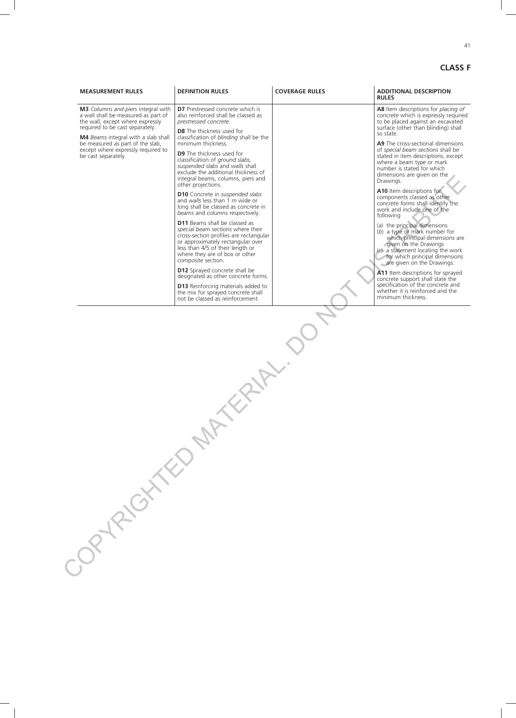CLASS F

| <b>MEASUREMENT RULES</b>                                                                                                                                                                                                                                                                 | <b>DEFINITION RULES</b>                                                                                                                                                                                                                              | <b>COVERAGE RULES</b> | <b>ADDITIONAL DESCRIPTION</b><br><b>RULES</b>                                                                                                                                                                                   |
|------------------------------------------------------------------------------------------------------------------------------------------------------------------------------------------------------------------------------------------------------------------------------------------|------------------------------------------------------------------------------------------------------------------------------------------------------------------------------------------------------------------------------------------------------|-----------------------|---------------------------------------------------------------------------------------------------------------------------------------------------------------------------------------------------------------------------------|
| M3 Columns and piers integral with<br>a wall shall be measured as part of<br>the wall, except where expressly<br>required to be cast separately.<br>M4 Beams integral with a slab shall<br>be measured as part of the slab,<br>except where expressly required to<br>be cast separately. | <b>D7</b> Prestressed concrete which is<br>also reinforced shall be classed as<br>prestressed concrete.                                                                                                                                              |                       | A8 Item descriptions for placing of<br>concrete which is expressly required<br>to be placed against an excavated                                                                                                                |
|                                                                                                                                                                                                                                                                                          | <b>D8</b> The thickness used for<br>classification of blinding shall be the<br>minimum thickness.                                                                                                                                                    |                       | surface (other than blinding) shall<br>so state.<br>A9 The cross-sectional dimensions                                                                                                                                           |
|                                                                                                                                                                                                                                                                                          | <b>D9</b> The thickness used for<br>classification of ground slabs,<br>suspended slabs and walls shall<br>exclude the additional thickness of<br>integral beams, columns, piers and<br>other projections.                                            |                       | of special beam sections shall be<br>stated in item descriptions, except<br>where a beam type or mark<br>number is stated for which<br>dimensions are given on the<br>Drawings.                                                 |
|                                                                                                                                                                                                                                                                                          | <b>D10</b> Concrete in suspended slabs<br>and walls less than 1 m wide or<br>long shall be classed as concrete in<br>beams and columns respectively.                                                                                                 |                       | A10 Item descriptions for<br>components classed as other<br>concrete forms shall identify the<br>work and include one of the<br>following                                                                                       |
|                                                                                                                                                                                                                                                                                          | <b>D11</b> Beams shall be classed as<br>special beam sections where their<br>cross-section profiles are rectangular<br>or approximately rectangular over<br>less than 4/5 of their length or<br>where they are of box or other<br>composite section. |                       | (a) the principal dimensions<br>(b) a type or mark number for<br>which principal dimensions are<br>given on the Drawings<br>$(c)$ a statement locating the work<br>for which principal dimensions<br>are given on the Drawings. |
|                                                                                                                                                                                                                                                                                          | <b>D12</b> Sprayed concrete shall be<br>designated as other concrete forms.                                                                                                                                                                          |                       | A11 Item descriptions for sprayed<br>concrete support shall state the                                                                                                                                                           |
|                                                                                                                                                                                                                                                                                          | <b>D13</b> Reinforcing materials added to<br>the mix for sprayed concrete shall<br>not be classed as reinforcement.                                                                                                                                  |                       | specification of the concrete and<br>whether it is reinforced and the<br>minimum thickness.                                                                                                                                     |
| DPYRIGHTED                                                                                                                                                                                                                                                                               |                                                                                                                                                                                                                                                      |                       |                                                                                                                                                                                                                                 |
|                                                                                                                                                                                                                                                                                          |                                                                                                                                                                                                                                                      |                       |                                                                                                                                                                                                                                 |